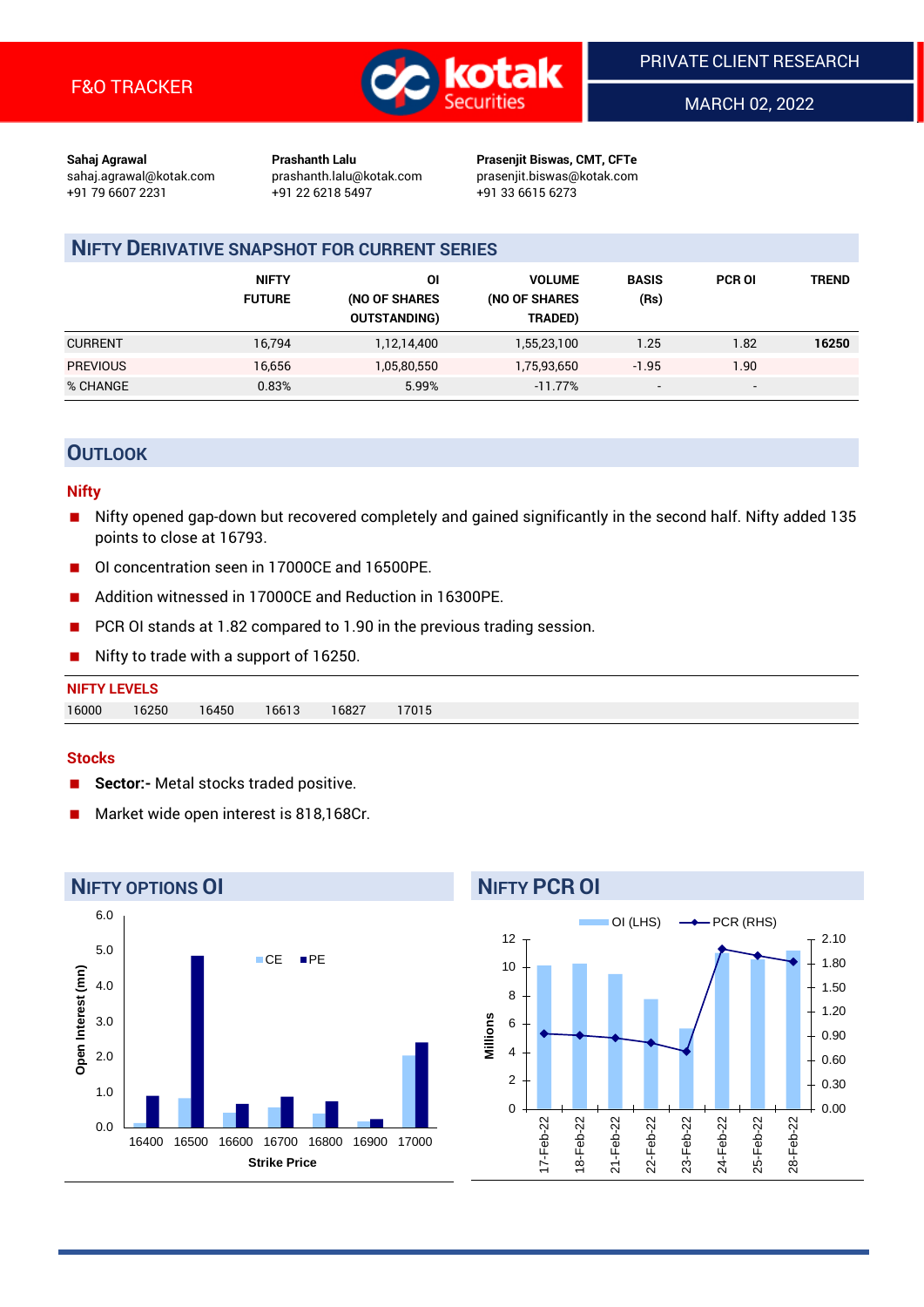

MARCH 02, 2022

**Sahaj Agrawal Prashanth Lalu Prasenjit Biswas, CMT, CFTe** +91 79 6607 2231 +91 22 6218 5497 +91 33 6615 6273

sahaj.agrawal@kotak.com [prashanth.lalu@kotak.com](mailto:prashanth.lalu@kotak.com) prasenjit.biswas@kotak.com

## **NIFTY DERIVATIVE SNAPSHOT FOR CURRENT SERIES**

|                 | <b>NIFTY</b><br><b>FUTURE</b> | ΟI<br>(NO OF SHARES<br><b>OUTSTANDING)</b> | <b>VOLUME</b><br>(NO OF SHARES<br>TRADED) | <b>BASIS</b><br>(Rs)     | <b>PCR OI</b>            | <b>TREND</b> |
|-----------------|-------------------------------|--------------------------------------------|-------------------------------------------|--------------------------|--------------------------|--------------|
| <b>CURRENT</b>  | 16.794                        | 1,12,14,400                                | 1,55,23,100                               | 1.25                     | 1.82                     | 16250        |
| <b>PREVIOUS</b> | 16,656                        | 1,05,80,550                                | 1,75,93,650                               | $-1.95$                  | 1.90                     |              |
| % CHANGE        | 0.83%                         | 5.99%                                      | $-11.77\%$                                | $\overline{\phantom{0}}$ | $\overline{\phantom{a}}$ |              |

## **OUTLOOK**

#### **Nifty**

- Nifty opened gap-down but recovered completely and gained significantly in the second half. Nifty added 135 points to close at 16793.
- OI concentration seen in 17000CE and 16500PE.
- Addition witnessed in 17000CE and Reduction in 16300PE.
- PCR OI stands at 1.82 compared to 1.90 in the previous trading session.
- Nifty to trade with a support of 16250.

## **NIFTY LEVELS** 16000 16250 16450 16613 16827 17015

## **Stocks**

- **Sector:-** Metal stocks traded positive.
- Market wide open interest is 818,168Cr.



## **NIFTY PCR OI**

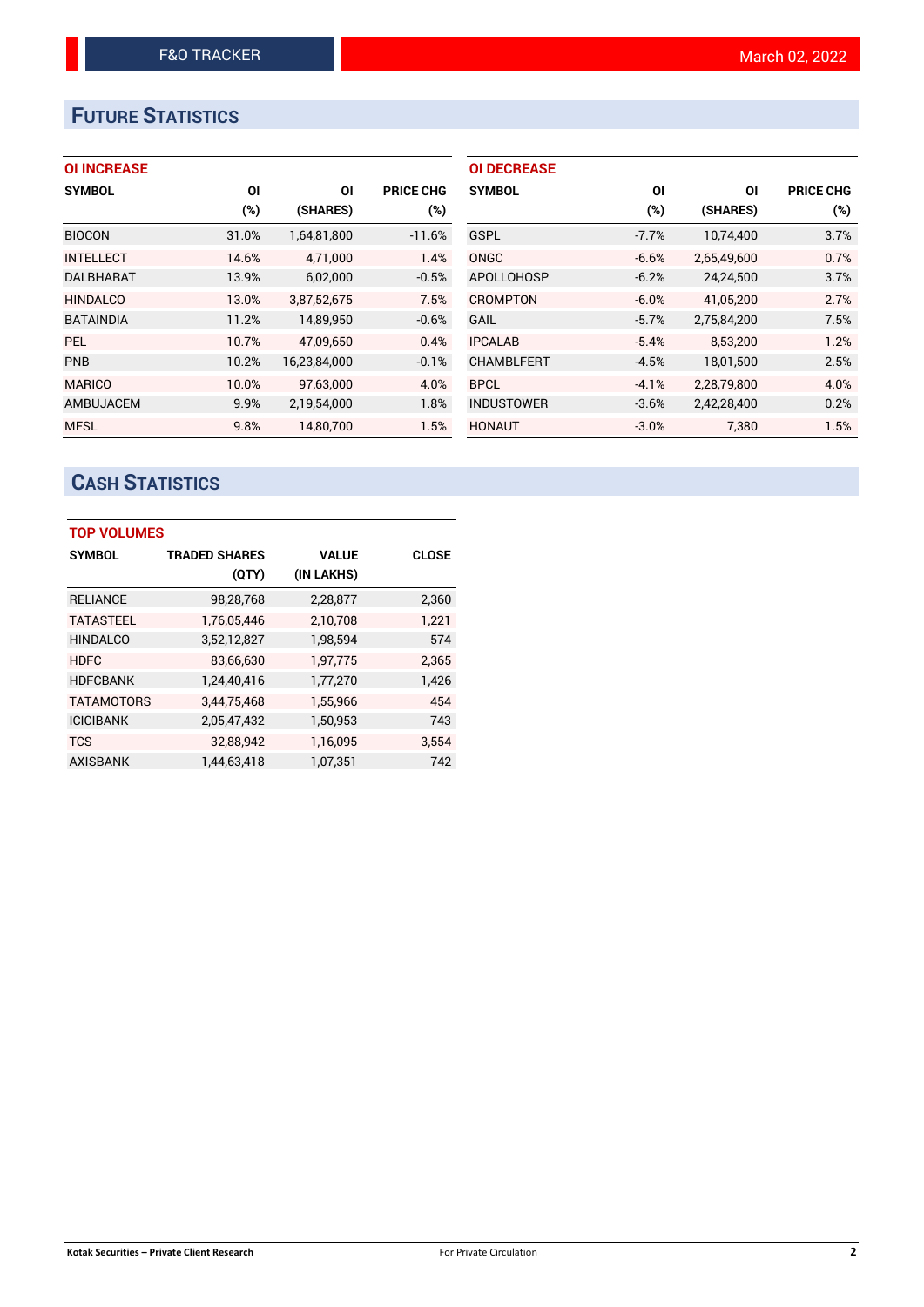# **FUTURE STATISTICS**

## **OI INCREASE**

| <b>SYMBOL</b>    | <b>OI</b> | ΟI           | PRICE CHG |
|------------------|-----------|--------------|-----------|
|                  | $(\%)$    | (SHARES)     | $(\%)$    |
| <b>BIOCON</b>    | 31.0%     | 1,64,81,800  | $-11.6%$  |
| <b>INTELLECT</b> | 14.6%     | 4,71,000     | 1.4%      |
| <b>DALBHARAT</b> | 13.9%     | 6,02,000     | $-0.5%$   |
| <b>HINDALCO</b>  | 13.0%     | 3,87,52,675  | 7.5%      |
| <b>BATAINDIA</b> | 11.2%     | 14,89,950    | $-0.6%$   |
| <b>PEL</b>       | 10.7%     | 47,09,650    | 0.4%      |
| PNB              | 10.2%     | 16,23,84,000 | $-0.1%$   |
| <b>MARICO</b>    | 10.0%     | 97,63,000    | 4.0%      |
| AMBUJACEM        | 9.9%      | 2,19,54,000  | 1.8%      |
| <b>MFSL</b>      | 9.8%      | 14.80.700    | 1.5%      |

| ΟI      | ΟI          | <b>PRICE CHG</b> |
|---------|-------------|------------------|
| (%)     | (SHARES)    | (%)              |
| $-7.7%$ | 10,74,400   | 3.7%             |
| $-6.6%$ | 2,65,49,600 | 0.7%             |
| $-6.2%$ | 24,24,500   | 3.7%             |
| $-6.0%$ | 41.05.200   | 2.7%             |
| $-5.7%$ | 2,75,84,200 | 7.5%             |
| $-5.4%$ | 8,53,200    | 1.2%             |
| $-4.5%$ | 18,01,500   | 2.5%             |
| $-4.1%$ | 2,28,79,800 | 4.0%             |
| $-3.6%$ | 2,42,28,400 | 0.2%             |
| $-3.0%$ | 7,380       | 1.5%             |
|         |             |                  |

# **CASH STATISTICS**

| <b>TOP VOLUMES</b> |                      |              |       |  |  |  |  |  |
|--------------------|----------------------|--------------|-------|--|--|--|--|--|
| <b>SYMBOL</b>      | <b>TRADED SHARES</b> | <b>VALUE</b> | CLOSE |  |  |  |  |  |
|                    | (QTY)                | (IN LAKHS)   |       |  |  |  |  |  |
| <b>RELIANCE</b>    | 98,28,768            | 2,28,877     | 2,360 |  |  |  |  |  |
| <b>TATASTEEL</b>   | 1,76,05,446          | 2,10,708     | 1,221 |  |  |  |  |  |
| <b>HINDALCO</b>    | 3,52,12,827          | 1,98,594     | 574   |  |  |  |  |  |
| <b>HDFC</b>        | 83,66,630            | 1,97,775     | 2,365 |  |  |  |  |  |
| <b>HDFCBANK</b>    | 1,24,40,416          | 1,77,270     | 1,426 |  |  |  |  |  |
| <b>TATAMOTORS</b>  | 3,44,75,468          | 1,55,966     | 454   |  |  |  |  |  |
| <b>ICICIBANK</b>   | 2,05,47,432          | 1,50,953     | 743   |  |  |  |  |  |
| <b>TCS</b>         | 32,88,942            | 1,16,095     | 3,554 |  |  |  |  |  |
| <b>AXISBANK</b>    | 1.44.63.418          | 1,07,351     | 742   |  |  |  |  |  |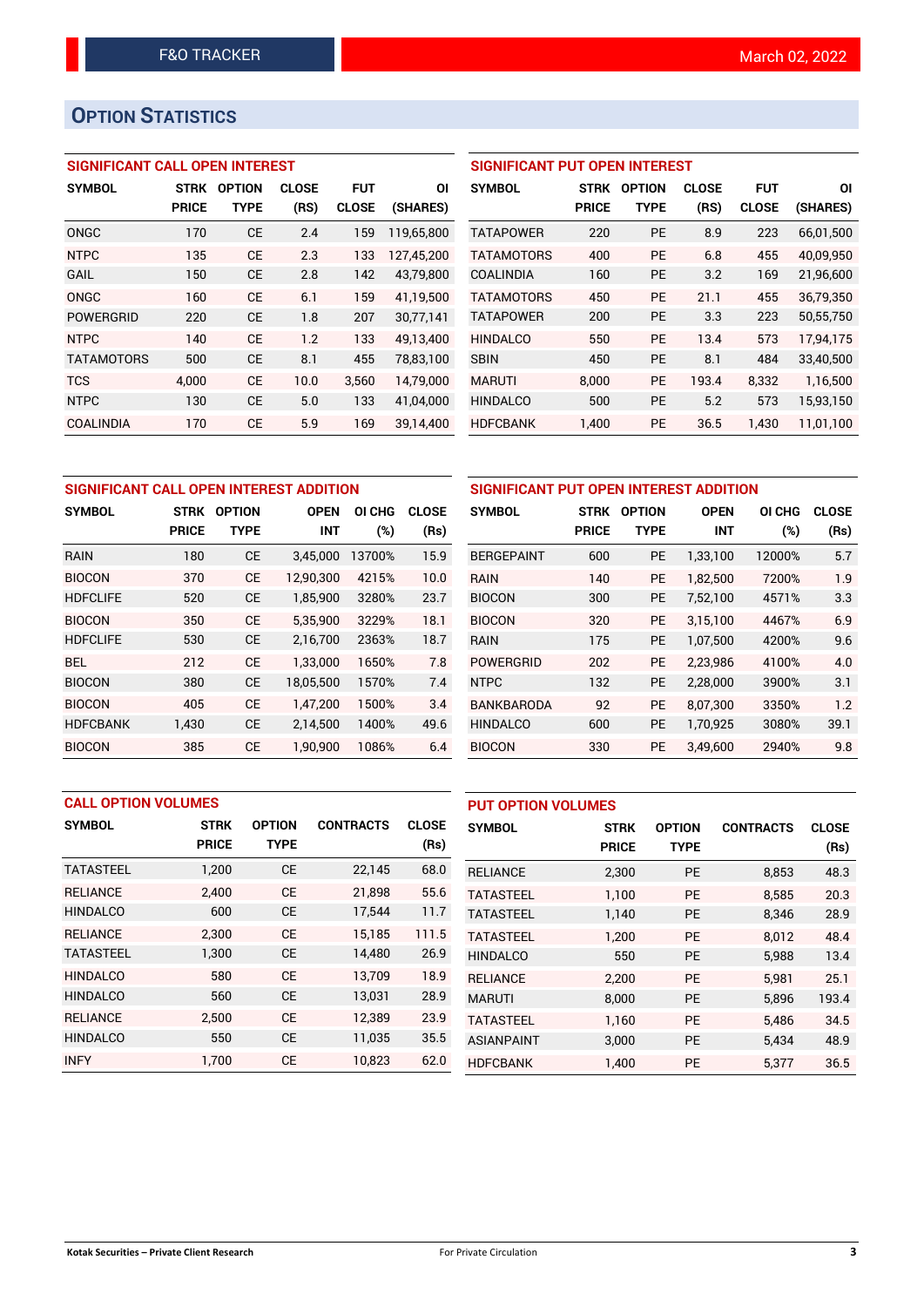# **OPTION STATISTICS**

## **SIGNIFICANT CALL OPEN INTEREST**

| <b>SYMBOL</b>     | <b>STRK</b>  | <b>OPTION</b> | <b>CLOSE</b> | <b>FUT</b>   | ΟI         |
|-------------------|--------------|---------------|--------------|--------------|------------|
|                   | <b>PRICE</b> | <b>TYPE</b>   | (RS)         | <b>CLOSE</b> | (SHARES)   |
| ONGC              | 170          | <b>CE</b>     | 2.4          | 159          | 119,65,800 |
| <b>NTPC</b>       | 135          | CE            | 2.3          | 133          | 127,45,200 |
| GAIL              | 150          | CE            | 2.8          | 142          | 43,79,800  |
| ONGC              | 160          | CE            | 6.1          | 159          | 41.19.500  |
| <b>POWERGRID</b>  | 220          | <b>CE</b>     | 1.8          | 207          | 30,77,141  |
| <b>NTPC</b>       | 140          | CE            | 1.2          | 133          | 49.13.400  |
| <b>TATAMOTORS</b> | 500          | СE            | 8.1          | 455          | 78,83,100  |
| <b>TCS</b>        | 4,000        | <b>CE</b>     | 10.0         | 3,560        | 14,79,000  |
| <b>NTPC</b>       | 130          | CE            | 5.0          | 133          | 41.04.000  |
| COALINDIA         | 170          | CE            | 5.9          | 169          | 39.14.400  |

## **SIGNIFICANT PUT OPEN INTEREST**

| <b>SYMBOL</b>     | <b>STRK</b><br><b>PRICE</b> | <b>OPTION</b><br>TYPE | <b>CLOSE</b><br>(RS) | <b>FUT</b><br><b>CLOSE</b> | ΟI<br>(SHARES) |
|-------------------|-----------------------------|-----------------------|----------------------|----------------------------|----------------|
| TATAPOWER         | 220                         | PF                    | 8.9                  | 223                        | 66,01,500      |
| <b>TATAMOTORS</b> | 400                         | PF                    | 6.8                  | 455                        | 40,09,950      |
| <b>COALINDIA</b>  | 160                         | PF                    | 3.2                  | 169                        | 21,96,600      |
| <b>TATAMOTORS</b> | 450                         | PF                    | 21.1                 | 455                        | 36.79.350      |
| <b>TATAPOWER</b>  | 200                         | PF                    | 3.3                  | 223                        | 50,55,750      |
| <b>HINDALCO</b>   | 550                         | PF                    | 13.4                 | 573                        | 17.94.175      |
| <b>SBIN</b>       | 450                         | PF                    | 8.1                  | 484                        | 33,40,500      |
| <b>MARUTI</b>     | 8.000                       | <b>PE</b>             | 193.4                | 8.332                      | 1,16,500       |
| <b>HINDALCO</b>   | 500                         | <b>PE</b>             | 5.2                  | 573                        | 15,93,150      |
| <b>HDFCBANK</b>   | 1.400                       | <b>PE</b>             | 36.5                 | 1,430                      | 11,01,100      |

| SIGNIFICANT CALL OPEN INTEREST ADDITION |              |               |             |        | <b>SIGNIFICANT PUT OPEN INTERES</b> |                   |                              |             |
|-----------------------------------------|--------------|---------------|-------------|--------|-------------------------------------|-------------------|------------------------------|-------------|
| <b>SYMBOL</b>                           | <b>STRK</b>  | <b>OPTION</b> | <b>OPEN</b> | OI CHG | <b>CLOSE</b>                        | <b>SYMBOL</b>     | <b>OPTION</b><br><b>STRK</b> |             |
|                                         | <b>PRICE</b> | <b>TYPE</b>   | <b>INT</b>  | (%)    | (Rs)                                |                   | <b>PRICE</b>                 | <b>TYPE</b> |
| <b>RAIN</b>                             | 180          | <b>CE</b>     | 3,45,000    | 13700% | 15.9                                | <b>BERGEPAINT</b> | 600                          | <b>PE</b>   |
| <b>BIOCON</b>                           | 370          | <b>CE</b>     | 12.90.300   | 4215%  | 10.0                                | <b>RAIN</b>       | 140                          | <b>PE</b>   |
| <b>HDFCLIFE</b>                         | 520          | <b>CE</b>     | 1.85.900    | 3280%  | 23.7                                | <b>BIOCON</b>     | 300                          | <b>PE</b>   |
| <b>BIOCON</b>                           | 350          | <b>CE</b>     | 5.35.900    | 3229%  | 18.1                                | <b>BIOCON</b>     | 320                          | <b>PE</b>   |
| <b>HDFCLIFE</b>                         | 530          | <b>CE</b>     | 2,16,700    | 2363%  | 18.7                                | <b>RAIN</b>       | 175                          | <b>PE</b>   |
| <b>BEL</b>                              | 212          | <b>CE</b>     | 1.33.000    | 1650%  | 7.8                                 | <b>POWERGRID</b>  | 202                          | <b>PE</b>   |
| <b>BIOCON</b>                           | 380          | <b>CE</b>     | 18,05,500   | 1570%  | 7.4                                 | <b>NTPC</b>       | 132                          | <b>PE</b>   |
| <b>BIOCON</b>                           | 405          | <b>CE</b>     | 1.47.200    | 1500%  | 3.4                                 | <b>BANKBARODA</b> | 92                           | <b>PE</b>   |
| <b>HDFCBANK</b>                         | 1,430        | СE            | 2,14,500    | 1400%  | 49.6                                | <b>HINDALCO</b>   | 600                          | <b>PE</b>   |
| <b>BIOCON</b>                           | 385          | <b>CE</b>     | 1,90,900    | 1086%  | 6.4                                 | <b>BIOCON</b>     | 330                          | PE          |

| SIGNIFICANT PUT OPEN INTEREST ADDITION |              |                              |            |        |              |  |  |  |
|----------------------------------------|--------------|------------------------------|------------|--------|--------------|--|--|--|
| <b>SYMBOL</b>                          | <b>STRK</b>  | <b>OPTION</b><br><b>OPEN</b> |            | OI CHG | <b>CLOSE</b> |  |  |  |
|                                        | <b>PRICE</b> | TYPE                         | <b>INT</b> | (%)    | (Rs)         |  |  |  |
| <b>BERGEPAINT</b>                      | 600          | <b>PE</b>                    | 1,33,100   | 12000% | 5.7          |  |  |  |
| RAIN                                   | 140          | <b>PE</b>                    | 1,82,500   | 7200%  | 1.9          |  |  |  |
| <b>BIOCON</b>                          | 300          | <b>PE</b>                    | 7,52,100   | 4571%  | 3.3          |  |  |  |
| <b>BIOCON</b>                          | 320          | <b>PE</b>                    | 3,15,100   | 4467%  | 6.9          |  |  |  |
| RAIN                                   | 175          | <b>PE</b>                    | 1,07,500   | 4200%  | 9.6          |  |  |  |
| <b>POWERGRID</b>                       | 202          | <b>PE</b>                    | 2.23.986   | 4100%  | 4.0          |  |  |  |
| <b>NTPC</b>                            | 132          | <b>PE</b>                    | 2,28,000   | 3900%  | 3.1          |  |  |  |
| <b>BANKBARODA</b>                      | 92           | <b>PE</b>                    | 8,07,300   | 3350%  | 1.2          |  |  |  |
| <b>HINDALCO</b>                        | 600          | <b>PE</b>                    | 1,70,925   | 3080%  | 39.1         |  |  |  |
| <b>BIOCON</b>                          | 330          | PE                           | 3,49,600   | 2940%  | 9.8          |  |  |  |

| <b>CALL OPTION VOLUMES</b> |              |               |                  | <b>PUT OPTION VOLUMES</b> |                   |              |               |                  |              |
|----------------------------|--------------|---------------|------------------|---------------------------|-------------------|--------------|---------------|------------------|--------------|
| <b>SYMBOL</b>              | <b>STRK</b>  | <b>OPTION</b> | <b>CONTRACTS</b> | <b>CLOSE</b>              | <b>SYMBOL</b>     | <b>STRK</b>  | <b>OPTION</b> | <b>CONTRACTS</b> | <b>CLOSE</b> |
|                            | <b>PRICE</b> | <b>TYPE</b>   |                  | (Rs)                      |                   | <b>PRICE</b> | <b>TYPE</b>   |                  | (Rs)         |
| <b>TATASTEEL</b>           | 1,200        | <b>CE</b>     | 22,145           | 68.0                      | <b>RELIANCE</b>   | 2,300        | PE            | 8,853            | 48.3         |
| <b>RELIANCE</b>            | 2.400        | <b>CE</b>     | 21.898           | 55.6                      | <b>TATASTEEL</b>  | 1.100        | <b>PE</b>     | 8.585            | 20.3         |
| <b>HINDALCO</b>            | 600          | <b>CE</b>     | 17,544           | 11.7                      | <b>TATASTEEL</b>  | 1,140        | PE            | 8,346            | 28.9         |
| <b>RELIANCE</b>            | 2.300        | <b>CE</b>     | 15,185           | 111.5                     | <b>TATASTEEL</b>  | 1.200        | <b>PE</b>     | 8.012            | 48.4         |
| <b>TATASTEEL</b>           | 1,300        | <b>CE</b>     | 14,480           | 26.9                      | <b>HINDALCO</b>   | 550          | <b>PE</b>     | 5,988            | 13.4         |
| <b>HINDALCO</b>            | 580          | <b>CE</b>     | 13.709           | 18.9                      | <b>RELIANCE</b>   | 2.200        | <b>PE</b>     | 5,981            | 25.1         |
| <b>HINDALCO</b>            | 560          | <b>CE</b>     | 13,031           | 28.9                      | <b>MARUTI</b>     | 8,000        | <b>PE</b>     | 5,896            | 193.4        |
| <b>RELIANCE</b>            | 2.500        | <b>CE</b>     | 12.389           | 23.9                      | <b>TATASTEEL</b>  | 1,160        | <b>PE</b>     | 5.486            | 34.5         |
| <b>HINDALCO</b>            | 550          | <b>CE</b>     | 11,035           | 35.5                      | <b>ASIANPAINT</b> | 3,000        | PE            | 5,434            | 48.9         |
| <b>INFY</b>                | 1.700        | <b>CE</b>     | 10,823           | 62.0                      | <b>HDFCBANK</b>   | 1,400        | PE            | 5,377            | 36.5         |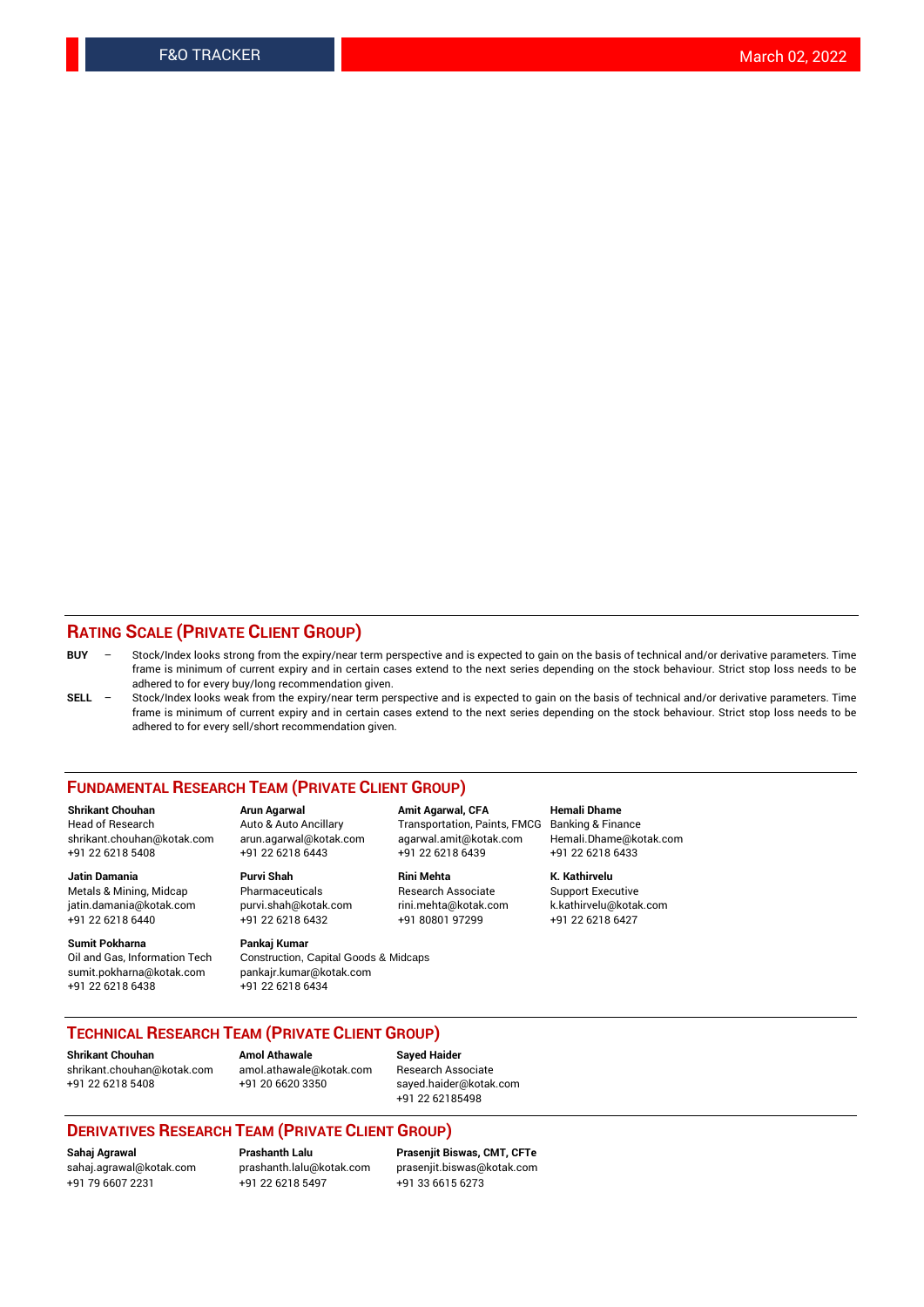## **RATING SCALE (PRIVATE CLIENT GROUP)**

- **BUY**  Stock/Index looks strong from the expiry/near term perspective and is expected to gain on the basis of technical and/or derivative parameters. Time frame is minimum of current expiry and in certain cases extend to the next series depending on the stock behaviour. Strict stop loss needs to be adhered to for every buy/long recommendation given.
- **SELL** Stock/Index looks weak from the expiry/near term perspective and is expected to gain on the basis of technical and/or derivative parameters. Time frame is minimum of current expiry and in certain cases extend to the next series depending on the stock behaviour. Strict stop loss needs to be adhered to for every sell/short recommendation given.

#### **FUNDAMENTAL RESEARCH TEAM (PRIVATE CLIENT GROUP)**

**Shrikant Chouhan Arun Agarwal Amit Agarwal, CFA Hemali Dhame** shrikant.chouhan@kotak.com arun.agarwal@kotak.com agarwal.amit@kotak.com Hemali.Dhame@kotak.com +91 22 6218 5408 +91 22 6218 6443 +91 22 6218 6439 +91 22 6218 6433

Metals & Mining, Midcap Pharmaceuticals Pharmaceuticals Research Associate Support Executive<br>
iatin.damania@kotak.com purvi.shah@kotak.com rini.mehta@kotak.com k.kathirvelu@kotak.com jatin.damania@kotak.com

**Sumit Pokharna** Pankaj Kumar<br>Oil and Gas, Information Tech Construction, Q sumit.pokharna@kotak.com pankajr.kumar@kotak.com

Construction, Capital Goods & Midcaps +91 22 6218 6438 +91 22 6218 6434

Transportation, Paints, FMCG

**Jatin Damania Purvi Shah Rini Mehta K. Kathirvelu**

+91 22 6218 6440 +91 22 6218 6432 +91 80801 97299 +91 22 6218 6427

## **TECHNICAL RESEARCH TEAM (PRIVATE CLIENT GROUP)**

**Shrikant Chouhan Amol Athawale Sayed Haider** [shrikant.chouhan@kotak.com](mailto:shrikant.chouhan@kotak.com) [amol.athawale@kotak.com](mailto:amol.athawale@kotak.com) Research Associate +91 22 6218 5408 +91 20 6620 3350 [sayed.haider@kotak.com](mailto:sayed.haider@kotak.com)

+91 22 62185498

#### **DERIVATIVES RESEARCH TEAM (PRIVATE CLIENT GROUP)**

+91 79 6607 2231 +91 22 6218 5497 +91 33 6615 6273

**Sahaj Agrawal Prashanth Lalu Prasenjit Biswas, CMT, CFTe** [prasenjit.biswas@kotak.com](mailto:prasenjit.biswas@kotak.com)